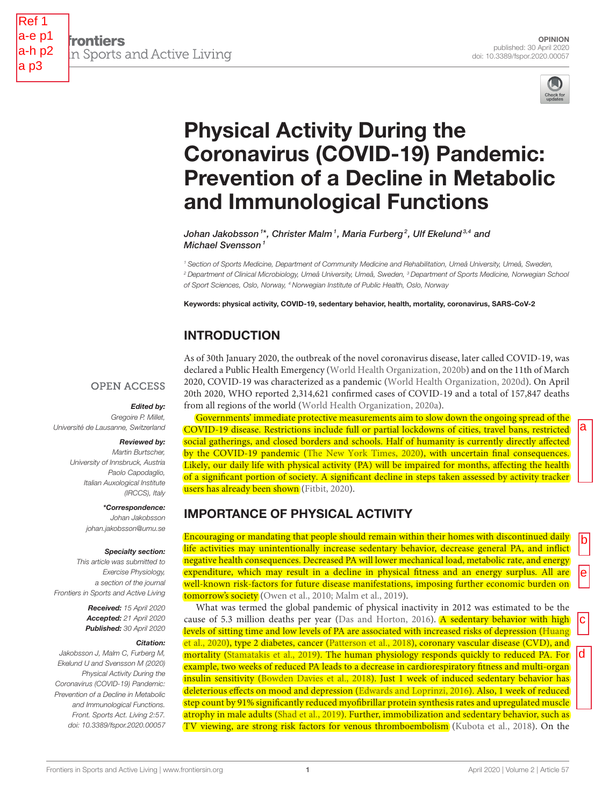

**frontiers** n Sports and Active Living



# Physical Activity During the Coronavirus (COVID-19) Pandemic: [Prevention of a Decline in Metabolic](https://www.frontiersin.org/articles/10.3389/fspor.2020.00057/full) and Immunological Functions

[Johan Jakobsson](http://loop.frontiersin.org/people/691410/overview)1\*, [Christer Malm](http://loop.frontiersin.org/people/625662/overview)1, Maria Furberg<sup>2</sup>, Ulf Ekelund3,4 and Michael Svensson<sup>1</sup>

<sup>1</sup> Section of Sports Medicine, Department of Community Medicine and Rehabilitation, Umeå University, Umeå, Sweden, <sup>2</sup> Department of Clinical Microbiology, Umeå University, Umeå, Sweden, <sup>3</sup> Department of Sports Medicine, Norwegian School of Sport Sciences, Oslo, Norway, <sup>4</sup> Norwegian Institute of Public Health, Oslo, Norway

Keywords: physical activity, COVID-19, sedentary behavior, health, mortality, coronavirus, SARS-CoV-2

# INTRODUCTION

**OPEN ACCESS** 

#### Edited by:

Gregoire P. Millet Université de Lausanne, Switzerland

#### Reviewed by:

Martin Burtscher, University of Innsbruck, Austria Paolo Capodaglio, Italian Auxological Institute (IRCCS), Italy

> \*Correspondence: Johan Jakobsson

[johan.jakobsson@umu.se](mailto:johan.jakobsson@umu.se)

#### Specialty section:

This article was submitted to Exercise Physiology, a section of the journal Frontiers in Sports and Active Living

> Received: 15 April 2020 Accepted: 21 April 2020 Published: 30 April 2020

#### Citation:

Jakobsson J, Malm C, Furberg M, Ekelund U and Svensson M (2020) Physical Activity During the Coronavirus (COVID-19) Pandemic: Prevention of a Decline in Metabolic and Immunological Functions. Front. Sports Act. Living 2:57. doi: [10.3389/fspor.2020.00057](https://doi.org/10.3389/fspor.2020.00057) As of 30th January 2020, the outbreak of the novel coronavirus disease, later called COVID-19, was declared a Public Health Emergency [\(World Health Organization, 2020b\)](#page-3-0) and on the 11th of March 2020, COVID-19 was characterized as a pandemic [\(World Health Organization, 2020d\)](#page-3-1). On April 20th 2020, WHO reported 2,314,621 confirmed cases of COVID-19 and a total of 157,847 deaths from all regions of the world [\(World Health Organization, 2020a\)](#page-3-2).

Governments' immediate protective measurements aim to slow down the ongoing spread of the COVID-19 disease. Restrictions include full or partial lockdowns of cities, travel bans, restricted social gatherings, and closed borders and schools. Half of humanity is currently directly affected by the COVID-19 pandemic [\(The New York Times, 2020\)](#page-3-3), with uncertain final consequences. Likely, our daily life with physical activity (PA) will be impaired for months, affecting the health of a significant portion of society. A significant decline in steps taken assessed by activity tracker users has already been shown [\(Fitbit, 2020\)](#page-2-0).

## IMPORTANCE OF PHYSICAL ACTIVITY

Encouraging or mandating that people should remain within their homes with discontinued daily life activities may unintentionally increase sedentary behavior, decrease general PA, and inflict negative health consequences. Decreased PA will lower mechanical load, metabolic rate, and energy expenditure, which may result in a decline in physical fitness and an energy surplus. All are well-known risk-factors for future disease manifestations, imposing further economic burden on tomorrow's society [\(Owen et al., 2010;](#page-2-1) [Malm et al., 2019\)](#page-2-2).

What was termed the global pandemic of physical inactivity in 2012 was estimated to be the cause of 5.3 million deaths per year [\(Das and Horton, 2016\)](#page-2-3). A sedentary behavior with high levels of sitting time and low levels of PA are associated with increased risks of depression (Huang et al., [2020\)](#page-2-4), type 2 diabetes, cancer [\(Patterson et al., 2018\)](#page-2-5), coronary vascular disease (CVD), and mortality [\(Stamatakis et al., 2019\)](#page-3-4). The human physiology responds quickly to reduced PA. For example, two weeks of reduced PA leads to a decrease in cardiorespiratory fitness and multi-organ insulin sensitivity [\(Bowden Davies et al., 2018\)](#page-2-6). Just 1 week of induced sedentary behavior has deleterious effects on mood and depression [\(Edwards and Loprinzi, 2016\)](#page-2-7). Also, 1 week of reduced step count by 91% significantly reduced myofibrillar protein synthesis rates and upregulated muscle atrophy in male adults [\(Shad et al., 2019\)](#page-3-5). Further, immobilization and sedentary behavior, such as TV viewing, are strong risk factors for venous thromboembolism [\(Kubota et al., 2018\)](#page-2-8). On the

d

b

e

la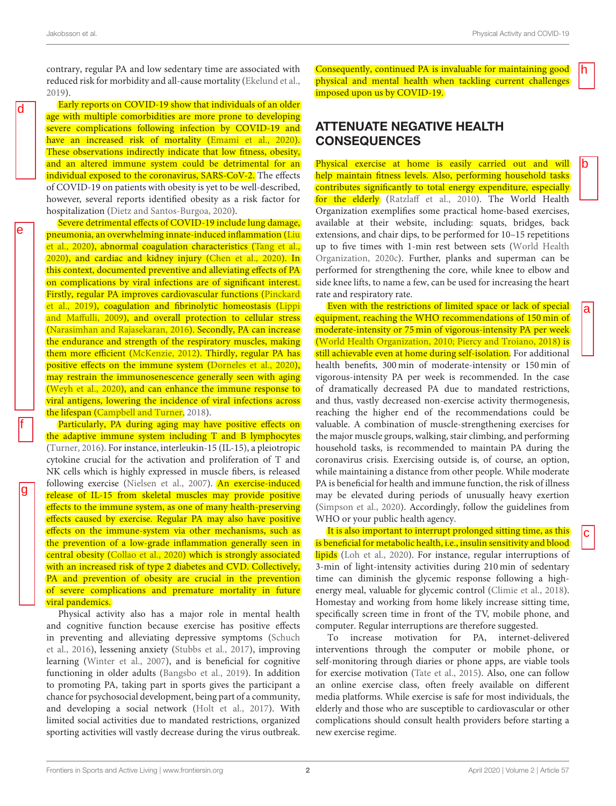d

e

f

g

a

c

b

h

contrary, regular PA and low sedentary time are associated with reduced risk for morbidity and all-cause mortality [\(Ekelund et al.,](#page-2-9) [2019\)](#page-2-9).

Early reports on COVID-19 show that individuals of an older age with multiple comorbidities are more prone to developing severe complications following infection by COVID-19 and have an increased risk of mortality [\(Emami et al., 2020\)](#page-2-10). These observations indirectly indicate that low fitness, obesity, and an altered immune system could be detrimental for an individual exposed to the coronavirus, SARS-CoV-2. The effects of COVID-19 on patients with obesity is yet to be well-described, however, several reports identified obesity as a risk factor for hospitalization [\(Dietz and Santos-Burgoa, 2020\)](#page-2-11).

Severe detrimental effects of COVID-19 include lung damage, pneumonia, an overwhelming innate-induced inflammation (Liu et al., [2020\)](#page-2-12), abnormal coagulation characteristics [\(Tang et al.,](#page-3-6) [2020\)](#page-3-6), and cardiac and kidney injury [\(Chen et al., 2020\)](#page-2-13). In this context, documented preventive and alleviating effects of PA on complications by viral infections are of significant interest. Firstly, regular PA improves cardiovascular functions (Pinckard et al., [2019\)](#page-3-7), coagulation and fibrinolytic homeostasis (Lippi and Maffulli, [2009\)](#page-2-14), and overall protection to cellular stress [\(Narasimhan and Rajasekaran, 2016\)](#page-2-15). Secondly, PA can increase the endurance and strength of the respiratory muscles, making them more efficient [\(McKenzie, 2012\)](#page-2-16). Thirdly, regular PA has positive effects on the immune system [\(Dorneles et al., 2020\)](#page-2-17), may restrain the immunosenescence generally seen with aging [\(Weyh et al., 2020\)](#page-3-8), and can enhance the immune response to viral antigens, lowering the incidence of viral infections across the lifespan [\(Campbell and Turner, 2018\)](#page-2-18).

Particularly, PA during aging may have positive effects on the adaptive immune system including T and B lymphocytes [\(Turner, 2016\)](#page-3-9). For instance, interleukin-15 (IL-15), a pleiotropic cytokine crucial for the activation and proliferation of T and NK cells which is highly expressed in muscle fibers, is released following exercise [\(Nielsen et al., 2007\)](#page-2-19). An exercise-induced release of IL-15 from skeletal muscles may provide positive effects to the immune system, as one of many health-preserving effects caused by exercise. Regular PA may also have positive effects on the immune-system via other mechanisms, such as the prevention of a low-grade inflammation generally seen in central obesity [\(Collao et al., 2020\)](#page-2-20) which is strongly associated with an increased risk of type 2 diabetes and CVD. Collectively, PA and prevention of obesity are crucial in the prevention of severe complications and premature mortality in future viral pandemics.

Physical activity also has a major role in mental health and cognitive function because exercise has positive effects in preventing and alleviating depressive symptoms (Schuch et al., [2016\)](#page-3-10), lessening anxiety [\(Stubbs et al., 2017\)](#page-3-11), improving learning [\(Winter et al., 2007\)](#page-3-12), and is beneficial for cognitive functioning in older adults [\(Bangsbo et al., 2019\)](#page-2-21). In addition to promoting PA, taking part in sports gives the participant a chance for psychosocial development, being part of a community, and developing a social network [\(Holt et al., 2017\)](#page-2-22). With limited social activities due to mandated restrictions, organized sporting activities will vastly decrease during the virus outbreak. Consequently, continued PA is invaluable for maintaining good physical and mental health when tackling current challenges imposed upon us by COVID-19.

## ATTENUATE NEGATIVE HEALTH **CONSEQUENCES**

Physical exercise at home is easily carried out and will help maintain fitness levels. Also, performing household tasks contributes significantly to total energy expenditure, especially for the elderly [\(Ratzlaff et al., 2010\)](#page-3-13). The World Health Organization exemplifies some practical home-based exercises, available at their website, including: squats, bridges, back extensions, and chair dips, to be performed for 10–15 repetitions up to five times with 1-min rest between sets (World Health Organization, [2020c\)](#page-3-14). Further, planks and superman can be performed for strengthening the core, while knee to elbow and side knee lifts, to name a few, can be used for increasing the heart rate and respiratory rate.

Even with the restrictions of limited space or lack of special equipment, reaching the WHO recommendations of 150 min of moderate-intensity or 75 min of vigorous-intensity PA per week [\(World Health Organization, 2010;](#page-3-15) [Piercy and Troiano, 2018\)](#page-2-23) is still achievable even at home during self-isolation. For additional health benefits, 300 min of moderate-intensity or 150 min of vigorous-intensity PA per week is recommended. In the case of dramatically decreased PA due to mandated restrictions, and thus, vastly decreased non-exercise activity thermogenesis, reaching the higher end of the recommendations could be valuable. A combination of muscle-strengthening exercises for the major muscle groups, walking, stair climbing, and performing household tasks, is recommended to maintain PA during the coronavirus crisis. Exercising outside is, of course, an option, while maintaining a distance from other people. While moderate PA is beneficial for health and immune function, the risk of illness may be elevated during periods of unusually heavy exertion [\(Simpson et al., 2020\)](#page-3-16). Accordingly, follow the guidelines from WHO or your public health agency.

It is also important to interrupt prolonged sitting time, as this is beneficial for metabolic health, i.e., insulin sensitivity and blood lipids [\(Loh et al., 2020\)](#page-2-24). For instance, regular interruptions of 3-min of light-intensity activities during 210 min of sedentary time can diminish the glycemic response following a highenergy meal, valuable for glycemic control [\(Climie et al., 2018\)](#page-2-25). Homestay and working from home likely increase sitting time, specifically screen time in front of the TV, mobile phone, and computer. Regular interruptions are therefore suggested.

To increase motivation for PA, internet-delivered interventions through the computer or mobile phone, or self-monitoring through diaries or phone apps, are viable tools for exercise motivation [\(Tate et al., 2015\)](#page-3-17). Also, one can follow an online exercise class, often freely available on different media platforms. While exercise is safe for most individuals, the elderly and those who are susceptible to cardiovascular or other complications should consult health providers before starting a new exercise regime.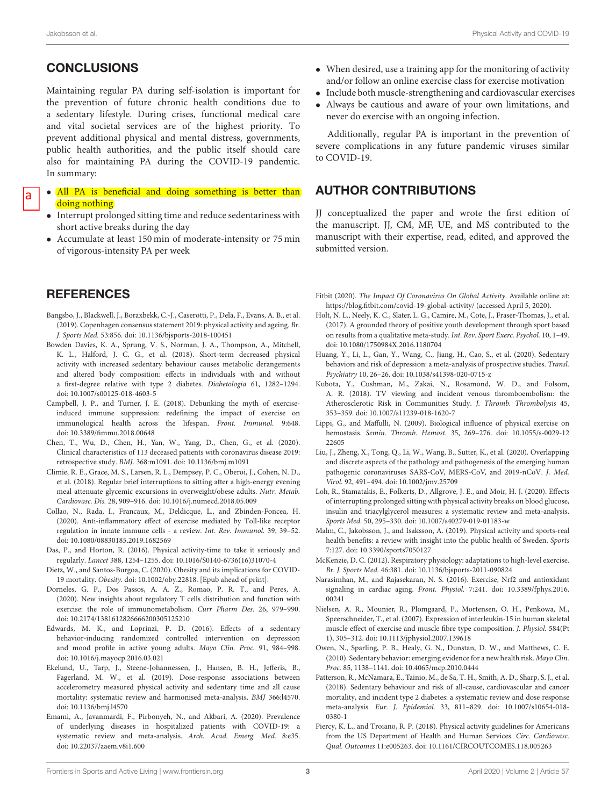## **CONCLUSIONS**

Maintaining regular PA during self-isolation is important for the prevention of future chronic health conditions due to a sedentary lifestyle. During crises, functional medical care and vital societal services are of the highest priority. To prevent additional physical and mental distress, governments, public health authorities, and the public itself should care also for maintaining PA during the COVID-19 pandemic. In summary:

- a
- All PA is beneficial and doing something is better than doing nothing
- Interrupt prolonged sitting time and reduce sedentariness with short active breaks during the day
- Accumulate at least 150 min of moderate-intensity or 75 min of vigorous-intensity PA per week

## **REFERENCES**

- <span id="page-2-21"></span>Bangsbo, J., Blackwell, J., Boraxbekk, C.-J., Caserotti, P., Dela, F., Evans, A. B., et al. (2019). Copenhagen consensus statement 2019: physical activity and ageing. Br. J. Sports Med. 53:856. doi: [10.1136/bjsports-2018-100451](https://doi.org/10.1136/bjsports-2018-100451)
- <span id="page-2-6"></span>Bowden Davies, K. A., Sprung, V. S., Norman, J. A., Thompson, A., Mitchell, K. L., Halford, J. C. G., et al. (2018). Short-term decreased physical activity with increased sedentary behaviour causes metabolic derangements and altered body composition: effects in individuals with and without a first-degree relative with type 2 diabetes. Diabetologia 61, 1282–1294. doi: [10.1007/s00125-018-4603-5](https://doi.org/10.1007/s00125-018-4603-5)
- <span id="page-2-18"></span>Campbell, J. P., and Turner, J. E. (2018). Debunking the myth of exerciseinduced immune suppression: redefining the impact of exercise on immunological health across the lifespan. Front. Immunol. 9:648. doi: [10.3389/fimmu.2018.00648](https://doi.org/10.3389/fimmu.2018.00648)
- <span id="page-2-13"></span>Chen, T., Wu, D., Chen, H., Yan, W., Yang, D., Chen, G., et al. (2020). Clinical characteristics of 113 deceased patients with coronavirus disease 2019: retrospective study. BMJ. 368:m1091. doi: [10.1136/bmj.m1091](https://doi.org/10.1136/bmj.m1091)
- <span id="page-2-25"></span>Climie, R. E., Grace, M. S., Larsen, R. L., Dempsey, P. C., Oberoi, J., Cohen, N. D., et al. (2018). Regular brief interruptions to sitting after a high-energy evening meal attenuate glycemic excursions in overweight/obese adults. Nutr. Metab. Cardiovasc. Dis. 28, 909–916. doi: [10.1016/j.numecd.2018.05.009](https://doi.org/10.1016/j.numecd.2018.05.009)
- <span id="page-2-20"></span>Collao, N., Rada, I., Francaux, M., Deldicque, L., and Zbinden-Foncea, H. (2020). Anti-inflammatory effect of exercise mediated by Toll-like receptor regulation in innate immune cells - a review. Int. Rev. Immunol. 39, 39–52. doi: [10.1080/08830185.2019.1682569](https://doi.org/10.1080/08830185.2019.1682569)
- <span id="page-2-3"></span>Das, P., and Horton, R. (2016). Physical activity-time to take it seriously and regularly. Lancet 388, 1254–1255. doi: [10.1016/S0140-6736\(16\)31070-4](https://doi.org/10.1016/S0140-6736(16)31070-4)
- <span id="page-2-11"></span>Dietz, W., and Santos-Burgoa, C. (2020). Obesity and its implications for COVID-19 mortality. Obesity. doi: [10.1002/oby.22818.](https://doi.org/10.1002/oby.22818) [Epub ahead of print].
- <span id="page-2-17"></span>Dorneles, G. P., Dos Passos, A. A. Z., Romao, P. R. T., and Peres, A. (2020). New insights about regulatory T cells distribution and function with exercise: the role of immunometabolism. Curr Pharm Des. 26, 979–990. doi: [10.2174/1381612826666200305125210](https://doi.org/10.2174/1381612826666200305125210)
- <span id="page-2-7"></span>Edwards, M. K., and Loprinzi, P. D. (2016). Effects of a sedentary behavior-inducing randomized controlled intervention on depression and mood profile in active young adults. Mayo Clin. Proc. 91, 984–998. doi: [10.1016/j.mayocp.2016.03.021](https://doi.org/10.1016/j.mayocp.2016.03.021)
- <span id="page-2-9"></span>Ekelund, U., Tarp, J., Steene-Johannessen, J., Hansen, B. H., Jefferis, B., Fagerland, M. W., et al. (2019). Dose-response associations between accelerometry measured physical activity and sedentary time and all cause mortality: systematic review and harmonised meta-analysis. BMJ 366:l4570. doi: [10.1136/bmj.l4570](https://doi.org/10.1136/bmj.l4570)
- <span id="page-2-10"></span>Emami, A., Javanmardi, F., Pirbonyeh, N., and Akbari, A. (2020). Prevalence of underlying diseases in hospitalized patients with COVID-19: a systematic review and meta-analysis. Arch. Acad. Emerg. Med. 8:e35. doi: [10.22037/aaem.v8i1.600](https://doi.org/10.22037/aaem.v8i1.600)
- When desired, use a training app for the monitoring of activity and/or follow an online exercise class for exercise motivation
- Include both muscle-strengthening and cardiovascular exercises
- Always be cautious and aware of your own limitations, and never do exercise with an ongoing infection.

Additionally, regular PA is important in the prevention of severe complications in any future pandemic viruses similar to COVID-19.

### AUTHOR CONTRIBUTIONS

JJ conceptualized the paper and wrote the first edition of the manuscript. JJ, CM, MF, UE, and MS contributed to the manuscript with their expertise, read, edited, and approved the submitted version.

- <span id="page-2-0"></span>Fitbit (2020). The Impact Of Coronavirus On Global Activity. Available online at: <https://blog.fitbit.com/covid-19-global-activity/> (accessed April 5, 2020).
- <span id="page-2-22"></span>Holt, N. L., Neely, K. C., Slater, L. G., Camire, M., Cote, J., Fraser-Thomas, J., et al. (2017). A grounded theory of positive youth development through sport based on results from a qualitative meta-study. Int. Rev. Sport Exerc. Psychol. 10, 1–49. doi: [10.1080/1750984X.2016.1180704](https://doi.org/10.1080/1750984X.2016.1180704)
- <span id="page-2-4"></span>Huang, Y., Li, L., Gan, Y., Wang, C., Jiang, H., Cao, S., et al. (2020). Sedentary behaviors and risk of depression: a meta-analysis of prospective studies. Transl. Psychiatry 10, 26–26. doi: [10.1038/s41398-020-0715-z](https://doi.org/10.1038/s41398-020-0715-z)
- <span id="page-2-8"></span>Kubota, Y., Cushman, M., Zakai, N., Rosamond, W. D., and Folsom, A. R. (2018). TV viewing and incident venous thromboembolism: the Atherosclerotic Risk in Communities Study. J. Thromb. Thrombolysis 45, 353–359. doi: [10.1007/s11239-018-1620-7](https://doi.org/10.1007/s11239-018-1620-7)
- <span id="page-2-14"></span>Lippi, G., and Maffulli, N. (2009). Biological influence of physical exercise on hemostasis. Semin. Thromb. Hemost. [35, 269–276. doi: 10.1055/s-0029-12](https://doi.org/10.1055/s-0029-1222605) 22605
- <span id="page-2-12"></span>Liu, J., Zheng, X., Tong, Q., Li, W., Wang, B., Sutter, K., et al. (2020). Overlapping and discrete aspects of the pathology and pathogenesis of the emerging human pathogenic coronaviruses SARS-CoV, MERS-CoV, and 2019-nCoV. J. Med. Virol. 92, 491–494. doi: [10.1002/jmv.25709](https://doi.org/10.1002/jmv.25709)
- <span id="page-2-24"></span>Loh, R., Stamatakis, E., Folkerts, D., Allgrove, J. E., and Moir, H. J. (2020). Effects of interrupting prolonged sitting with physical activity breaks on blood glucose, insulin and triacylglycerol measures: a systematic review and meta-analysis. Sports Med. 50, 295–330. doi: [10.1007/s40279-019-01183-w](https://doi.org/10.1007/s40279-019-01183-w)
- <span id="page-2-2"></span>Malm, C., Jakobsson, J., and Isaksson, A. (2019). Physical activity and sports-real health benefits: a review with insight into the public health of Sweden. Sports 7:127. doi: [10.3390/sports7050127](https://doi.org/10.3390/sports7050127)
- <span id="page-2-16"></span>McKenzie, D. C. (2012). Respiratory physiology: adaptations to high-level exercise. Br. J. Sports Med. 46:381. doi: [10.1136/bjsports-2011-090824](https://doi.org/10.1136/bjsports-2011-090824)
- <span id="page-2-15"></span>Narasimhan, M., and Rajasekaran, N. S. (2016). Exercise, Nrf2 and antioxidant signaling in cardiac aging. Front. Physiol. [7:241. doi: 10.3389/fphys.2016.](https://doi.org/10.3389/fphys.2016.00241) 00241
- <span id="page-2-19"></span>Nielsen, A. R., Mounier, R., Plomgaard, P., Mortensen, O. H., Penkowa, M., Speerschneider, T., et al. (2007). Expression of interleukin-15 in human skeletal muscle effect of exercise and muscle fibre type composition. J. Physiol. 584(Pt 1), 305–312. doi: [10.1113/jphysiol.2007.139618](https://doi.org/10.1113/jphysiol.2007.139618)
- <span id="page-2-1"></span>Owen, N., Sparling, P. B., Healy, G. N., Dunstan, D. W., and Matthews, C. E. (2010). Sedentary behavior: emerging evidence for a new health risk. Mayo Clin. Proc. 85, 1138–1141. doi: [10.4065/mcp.2010.0444](https://doi.org/10.4065/mcp.2010.0444)
- <span id="page-2-5"></span>Patterson, R., McNamara, E., Tainio, M., de Sa, T. H., Smith, A. D., Sharp, S. J., et al. (2018). Sedentary behaviour and risk of all-cause, cardiovascular and cancer mortality, and incident type 2 diabetes: a systematic review and dose response meta-analysis. Eur. J. Epidemiol. [33, 811–829. doi: 10.1007/s10654-018-](https://doi.org/10.1007/s10654-018-0380-1) 0380-1
- <span id="page-2-23"></span>Piercy, K. L., and Troiano, R. P. (2018). Physical activity guidelines for Americans from the US Department of Health and Human Services. Circ. Cardiovasc. Qual. Outcomes 11:e005263. doi: [10.1161/CIRCOUTCOMES.118.005263](https://doi.org/10.1161/CIRCOUTCOMES.118.005263)